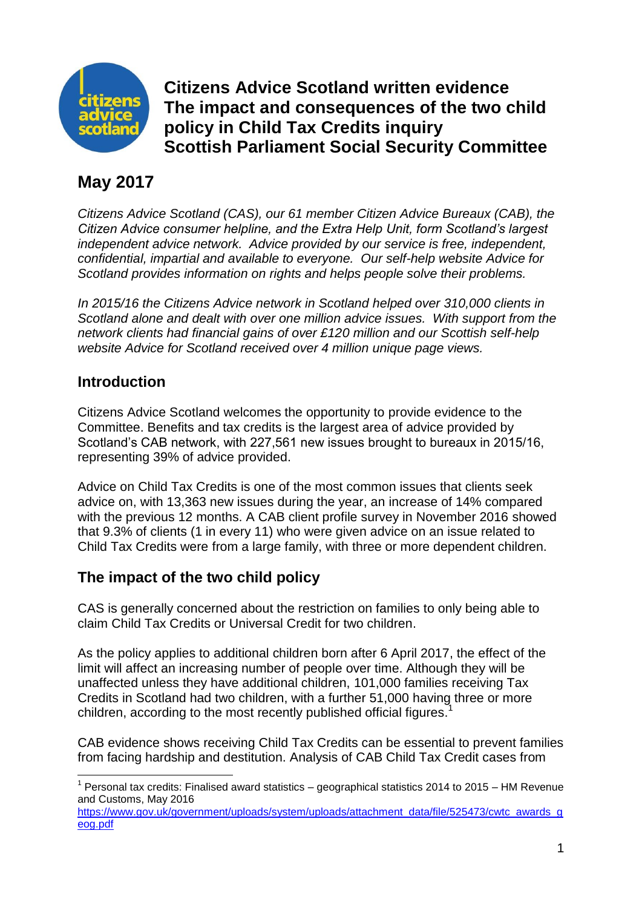

**Citizens Advice Scotland written evidence The impact and consequences of the two child policy in Child Tax Credits inquiry Scottish Parliament Social Security Committee**

# **May 2017**

*Citizens Advice Scotland (CAS), our 61 member Citizen Advice Bureaux (CAB), the Citizen Advice consumer helpline, and the Extra Help Unit, form Scotland's largest independent advice network. Advice provided by our service is free, independent, confidential, impartial and available to everyone. Our self-help website Advice for Scotland provides information on rights and helps people solve their problems.*

*In 2015/16 the Citizens Advice network in Scotland helped over 310,000 clients in Scotland alone and dealt with over one million advice issues. With support from the network clients had financial gains of over £120 million and our Scottish self-help website Advice for Scotland received over 4 million unique page views.*

### **Introduction**

Citizens Advice Scotland welcomes the opportunity to provide evidence to the Committee. Benefits and tax credits is the largest area of advice provided by Scotland's CAB network, with 227,561 new issues brought to bureaux in 2015/16, representing 39% of advice provided.

Advice on Child Tax Credits is one of the most common issues that clients seek advice on, with 13,363 new issues during the year, an increase of 14% compared with the previous 12 months. A CAB client profile survey in November 2016 showed that 9.3% of clients (1 in every 11) who were given advice on an issue related to Child Tax Credits were from a large family, with three or more dependent children.

## **The impact of the two child policy**

CAS is generally concerned about the restriction on families to only being able to claim Child Tax Credits or Universal Credit for two children.

As the policy applies to additional children born after 6 April 2017, the effect of the limit will affect an increasing number of people over time. Although they will be unaffected unless they have additional children, 101,000 families receiving Tax Credits in Scotland had two children, with a further 51,000 having three or more children, according to the most recently published official figures.<sup>1</sup>

CAB evidence shows receiving Child Tax Credits can be essential to prevent families from facing hardship and destitution. Analysis of CAB Child Tax Credit cases from

**<sup>.</sup>**  $1$  Personal tax credits: Finalised award statistics – geographical statistics 2014 to 2015 – HM Revenue and Customs, May 2016

[https://www.gov.uk/government/uploads/system/uploads/attachment\\_data/file/525473/cwtc\\_awards\\_g](https://www.gov.uk/government/uploads/system/uploads/attachment_data/file/525473/cwtc_awards_geog.pdf) [eog.pdf](https://www.gov.uk/government/uploads/system/uploads/attachment_data/file/525473/cwtc_awards_geog.pdf)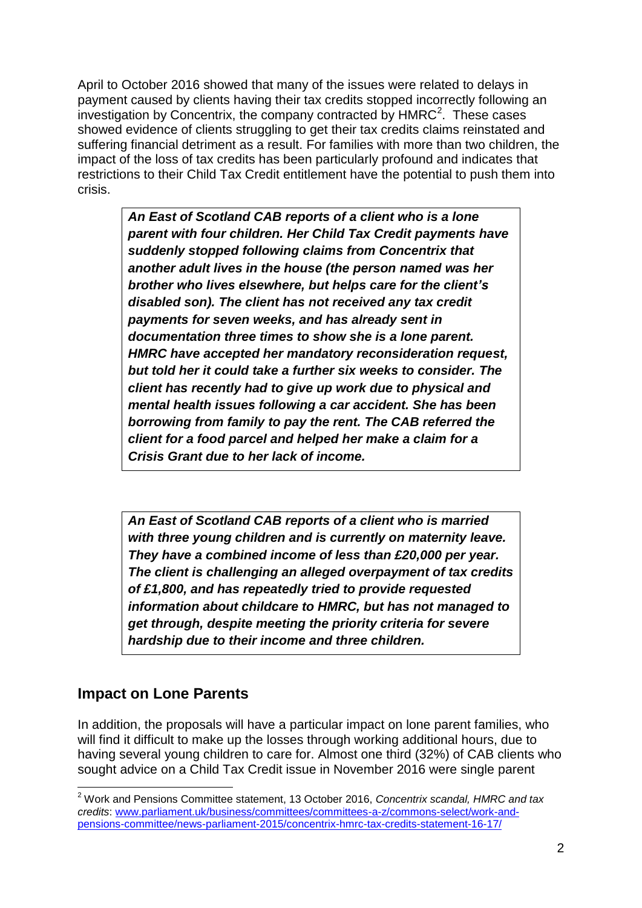April to October 2016 showed that many of the issues were related to delays in payment caused by clients having their tax credits stopped incorrectly following an investigation by Concentrix, the company contracted by  $HMRC<sup>2</sup>$ . These cases showed evidence of clients struggling to get their tax credits claims reinstated and suffering financial detriment as a result. For families with more than two children, the impact of the loss of tax credits has been particularly profound and indicates that restrictions to their Child Tax Credit entitlement have the potential to push them into crisis.

> *An East of Scotland CAB reports of a client who is a lone parent with four children. Her Child Tax Credit payments have suddenly stopped following claims from Concentrix that another adult lives in the house (the person named was her brother who lives elsewhere, but helps care for the client's disabled son). The client has not received any tax credit payments for seven weeks, and has already sent in documentation three times to show she is a lone parent. HMRC have accepted her mandatory reconsideration request, but told her it could take a further six weeks to consider. The client has recently had to give up work due to physical and mental health issues following a car accident. She has been borrowing from family to pay the rent. The CAB referred the client for a food parcel and helped her make a claim for a Crisis Grant due to her lack of income.*

*An East of Scotland CAB reports of a client who is married with three young children and is currently on maternity leave. They have a combined income of less than £20,000 per year. The client is challenging an alleged overpayment of tax credits of £1,800, and has repeatedly tried to provide requested information about childcare to HMRC, but has not managed to get through, despite meeting the priority criteria for severe hardship due to their income and three children.*

## **Impact on Lone Parents**

In addition, the proposals will have a particular impact on lone parent families, who will find it difficult to make up the losses through working additional hours, due to having several young children to care for. Almost one third (32%) of CAB clients who sought advice on a Child Tax Credit issue in November 2016 were single parent

 $\overline{\phantom{a}}$ <sup>2</sup> Work and Pensions Committee statement, 13 October 2016, *Concentrix scandal, HMRC and tax credits*: [www.parliament.uk/business/committees/committees-a-z/commons-select/work-and](http://www.parliament.uk/business/committees/committees-a-z/commons-select/work-and-pensions-committee/news-parliament-2015/concentrix-hmrc-tax-credits-statement-16-17/)[pensions-committee/news-parliament-2015/concentrix-hmrc-tax-credits-statement-16-17/](http://www.parliament.uk/business/committees/committees-a-z/commons-select/work-and-pensions-committee/news-parliament-2015/concentrix-hmrc-tax-credits-statement-16-17/)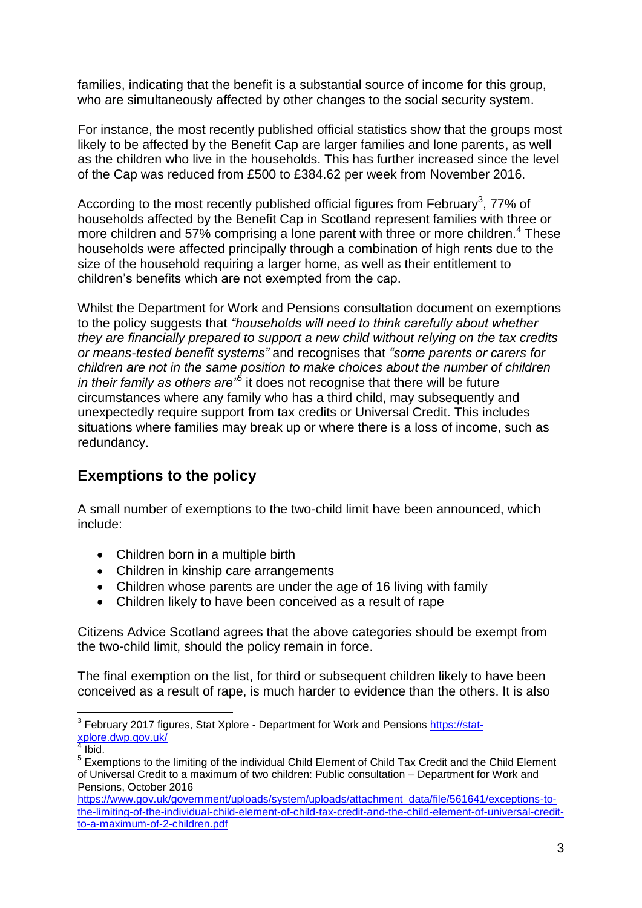families, indicating that the benefit is a substantial source of income for this group, who are simultaneously affected by other changes to the social security system.

For instance, the most recently published official statistics show that the groups most likely to be affected by the Benefit Cap are larger families and lone parents, as well as the children who live in the households. This has further increased since the level of the Cap was reduced from £500 to £384.62 per week from November 2016.

According to the most recently published official figures from February<sup>3</sup>, 77% of households affected by the Benefit Cap in Scotland represent families with three or more children and 57% comprising a lone parent with three or more children.<sup>4</sup> These households were affected principally through a combination of high rents due to the size of the household requiring a larger home, as well as their entitlement to children's benefits which are not exempted from the cap.

Whilst the Department for Work and Pensions consultation document on exemptions to the policy suggests that *"households will need to think carefully about whether they are financially prepared to support a new child without relying on the tax credits or means-tested benefit systems"* and recognises that *"some parents or carers for children are not in the same position to make choices about the number of children in their family as others are"<sup>5</sup>* it does not recognise that there will be future circumstances where any family who has a third child, may subsequently and unexpectedly require support from tax credits or Universal Credit. This includes situations where families may break up or where there is a loss of income, such as redundancy.

## **Exemptions to the policy**

A small number of exemptions to the two-child limit have been announced, which include:

- Children born in a multiple birth
- Children in kinship care arrangements
- Children whose parents are under the age of 16 living with family
- Children likely to have been conceived as a result of rape

Citizens Advice Scotland agrees that the above categories should be exempt from the two-child limit, should the policy remain in force.

The final exemption on the list, for third or subsequent children likely to have been conceived as a result of rape, is much harder to evidence than the others. It is also

 $\overline{\phantom{a}}$ 

<sup>&</sup>lt;sup>3</sup> February 2017 figures, Stat Xplore - Department for Work and Pensions [https://stat](https://stat-xplore.dwp.gov.uk/)<mark>[xplore.dwp.gov.uk/](https://stat-xplore.dwp.gov.uk/)</mark><br><sup>4</sup> Jhid

Ibid.

<sup>&</sup>lt;sup>5</sup> Exemptions to the limiting of the individual Child Element of Child Tax Credit and the Child Element of Universal Credit to a maximum of two children: Public consultation – Department for Work and Pensions, October 2016

[https://www.gov.uk/government/uploads/system/uploads/attachment\\_data/file/561641/exceptions-to](https://www.gov.uk/government/uploads/system/uploads/attachment_data/file/561641/exceptions-to-the-limiting-of-the-individual-child-element-of-child-tax-credit-and-the-child-element-of-universal-credit-to-a-maximum-of-2-children.pdf)[the-limiting-of-the-individual-child-element-of-child-tax-credit-and-the-child-element-of-universal-credit](https://www.gov.uk/government/uploads/system/uploads/attachment_data/file/561641/exceptions-to-the-limiting-of-the-individual-child-element-of-child-tax-credit-and-the-child-element-of-universal-credit-to-a-maximum-of-2-children.pdf)[to-a-maximum-of-2-children.pdf](https://www.gov.uk/government/uploads/system/uploads/attachment_data/file/561641/exceptions-to-the-limiting-of-the-individual-child-element-of-child-tax-credit-and-the-child-element-of-universal-credit-to-a-maximum-of-2-children.pdf)